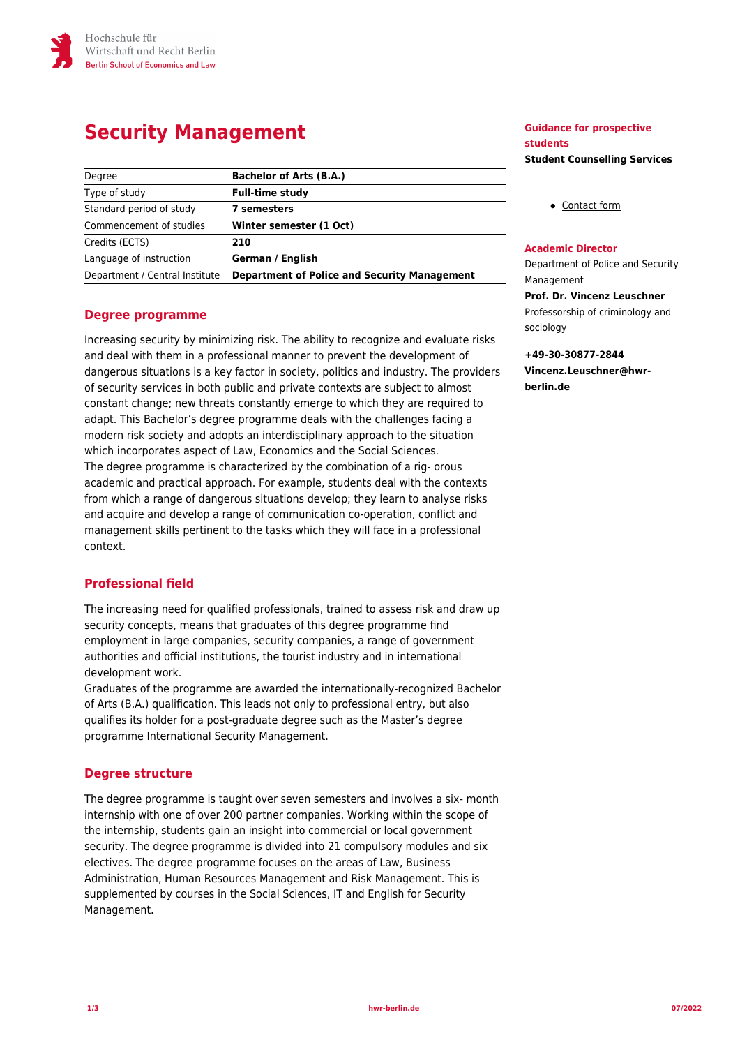# **Security Management**

| Degree                         | <b>Bachelor of Arts (B.A.)</b>                      |
|--------------------------------|-----------------------------------------------------|
| Type of study                  | <b>Full-time study</b>                              |
| Standard period of study       | 7 semesters                                         |
| Commencement of studies        | Winter semester (1 Oct)                             |
| Credits (ECTS)                 | 210                                                 |
| Language of instruction        | German / English                                    |
| Department / Central Institute | <b>Department of Police and Security Management</b> |

### **Degree programme**

Increasing security by minimizing risk. The ability to recognize and evaluate risks and deal with them in a professional manner to prevent the development of dangerous situations is a key factor in society, politics and industry. The providers of security services in both public and private contexts are subject to almost constant change; new threats constantly emerge to which they are required to adapt. This Bachelor's degree programme deals with the challenges facing a modern risk society and adopts an interdisciplinary approach to the situation which incorporates aspect of Law, Economics and the Social Sciences. The degree programme is characterized by the combination of a rig- orous academic and practical approach. For example, students deal with the contexts from which a range of dangerous situations develop; they learn to analyse risks and acquire and develop a range of communication co-operation, conflict and management skills pertinent to the tasks which they will face in a professional context.

### **Professional field**

The increasing need for qualified professionals, trained to assess risk and draw up security concepts, means that graduates of this degree programme find employment in large companies, security companies, a range of government authorities and official institutions, the tourist industry and in international development work.

Graduates of the programme are awarded the internationally-recognized Bachelor of Arts (B.A.) qualification. This leads not only to professional entry, but also qualifies its holder for a post-graduate degree such as the Master's degree programme International Security Management.

#### **Degree structure**

The degree programme is taught over seven semesters and involves a six- month internship with one of over 200 partner companies. Working within the scope of the internship, students gain an insight into commercial or local government security. The degree programme is divided into 21 compulsory modules and six electives. The degree programme focuses on the areas of Law, Business Administration, Human Resources Management and Risk Management. This is supplemented by courses in the Social Sciences, IT and English for Security Management.

#### **Guidance for prospective students Student Counselling Services**

[Contact form](https://www.hwr-berlin.de/en/study/degree-programmes/faq-studies/student-counselling-services-contact-form/)

#### **Academic Director**

Department of Police and Security Management **Prof. Dr. Vincenz Leuschner**

Professorship of criminology and sociology

**+49-30-30877-2844 Vincenz.Leuschner@hwrberlin.de**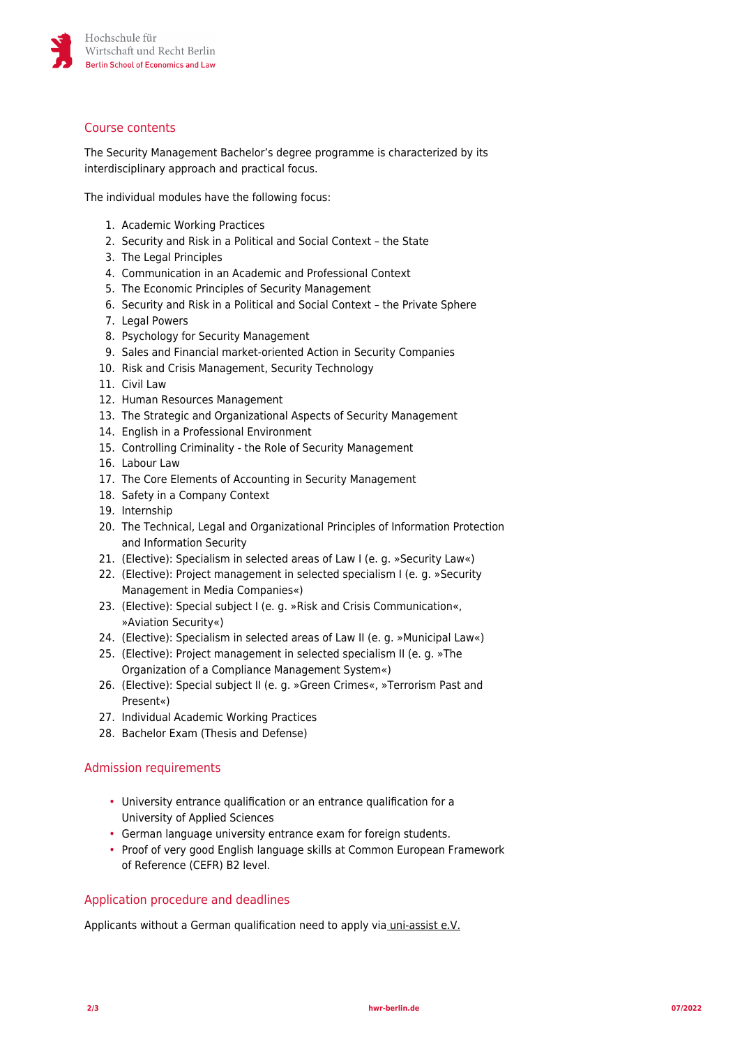

## Course contents

The Security Management Bachelor's degree programme is characterized by its interdisciplinary approach and practical focus.

The individual modules have the following focus:

- 1. Academic Working Practices
- 2. Security and Risk in a Political and Social Context the State
- 3. The Legal Principles
- 4. Communication in an Academic and Professional Context
- 5. The Economic Principles of Security Management
- 6. Security and Risk in a Political and Social Context the Private Sphere
- 7. Legal Powers
- 8. Psychology for Security Management
- 9. Sales and Financial market-oriented Action in Security Companies
- 10. Risk and Crisis Management, Security Technology
- 11. Civil Law
- 12. Human Resources Management
- 13. The Strategic and Organizational Aspects of Security Management
- 14. English in a Professional Environment
- 15. Controlling Criminality the Role of Security Management
- 16. Labour Law
- 17. The Core Elements of Accounting in Security Management
- 18. Safety in a Company Context
- 19. Internship
- 20. The Technical, Legal and Organizational Principles of Information Protection and Information Security
- 21. (Elective): Specialism in selected areas of Law I (e. g. »Security Law«)
- 22. (Elective): Project management in selected specialism I (e. g. »Security Management in Media Companies«)
- 23. (Elective): Special subject I (e. g. »Risk and Crisis Communication«, »Aviation Security«)
- 24. (Elective): Specialism in selected areas of Law II (e. g. »Municipal Law«)
- 25. (Elective): Project management in selected specialism II (e. g. »The Organization of a Compliance Management System«)
- 26. (Elective): Special subject II (e. g. »Green Crimes«, »Terrorism Past and Present«)
- 27. Individual Academic Working Practices
- 28. Bachelor Exam (Thesis and Defense)

### Admission requirements

- University entrance qualification or an entrance qualification for a University of Applied Sciences
- German language university entrance exam for foreign students.
- Proof of very good English language skills at Common European Framework of Reference (CEFR) B2 level.

### Application procedure and deadlines

Applicants without a German qualification need to apply vi[a uni-assist e.V.](https://www.uni-assist.de/)